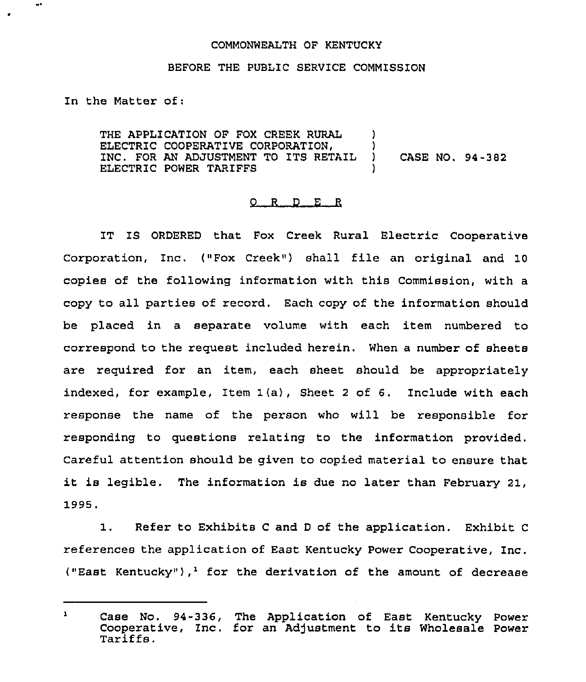## COMMONWEALTH OF KENTUCKY

## BEFORE THE PUBLZC SERVICE COMMISSION

In the Matter of:

THE APPLICATION OF FOX CREEK RURAL ELECTRIC COOPERATIVE CORPORATION, INC. FOR AN ADJUSTMENT TO ITS RETAIL ELECTRIC POWER TARIFFS ) ) ) CASE NO. 94-382 )

## $Q$  R  $D$  E R

IT IS ORDERED that Fox Creek Rural Electric Cooperative Corporation, Inc. ("Fox Creek"} shall file an original and <sup>10</sup> copies of the following information with this Commission, with a copy to all parties of record. Each copy of the information should be placed in a separate volume with each item numbered to correspond to the request included herein. When a number of sheets are required for an item, each sheet should be appropriately indexed, for example, Item 1(a), Sheet <sup>2</sup> of 6. Include with each response the name of the person who will be responsible for responding to questions relating to the information provided. Careful attention should be given to copied material to ensure that it is legible. The information is due no later than February 21, 1995.

1. Refer to Exhibits <sup>C</sup> and <sup>D</sup> of the application. Exhibit <sup>C</sup> references the application of East Kentucky Power Cooperative, Inc. ("East Kentucky"),<sup>1</sup> for the derivation of the amount of decrease

 $\mathbf{1}$ Case No. 94-336, The Application of East Kentucky Power Cooperative, Inc. for an Adjustment to its Wholesale Power Tariffs.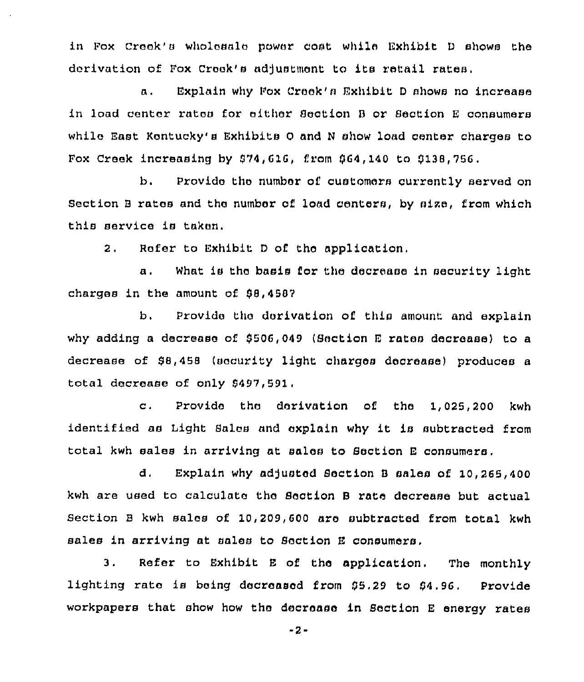in Fox Creek's wholesale power cost while Exhibit D shows the derivation of Fox Creek's adjustment to its retail rates.

a. Explain why Fox Creak'e Exhibit <sup>D</sup> shows no increase in load center rates for either Section B or Section E consumers while East Kentucky's Exhibits O and N show load center charges to Fox Creek increasing by  $$74,616$ , from  $$64,140$  to  $$138,756$ .

b. Provide the number of customers currently served on Section <sup>B</sup> rates and the number of load centers, by eire, from which this service is taken.

2. Refer to Exhibit <sup>D</sup> of tho application.

a. What is the basis for the decrease in security light charges in the amount of 88,4587

b. Provide the derivation of this amount and explain why adding a decrease of \$506,049 (Section E rates decrease) to a decrease of \$8,458 (security light charges decrease) produces a total decrease of only 9497,591.

c, Provide the derivation of the 1,025,200 kwh identified as Light Sales and explain why it is subtracted from total kwh sales in arriving at sales to Section <sup>E</sup> consumers,

d. Explain why adjusted Section B sales of 10,265,400 kwh are used to calculate the Section <sup>B</sup> rate decrease but actual Section <sup>B</sup> kwh sales of 10,209,600 are subtracted from total kwh sales in arriving at sales to Section <sup>E</sup> consumers,

3. Refer to Exhibit <sup>E</sup> of the application. The monthly lighting rate is being decreased from \$5.29 to \$4.96. Provide workpapers that show how the decrease in Section E energy rates

-2-